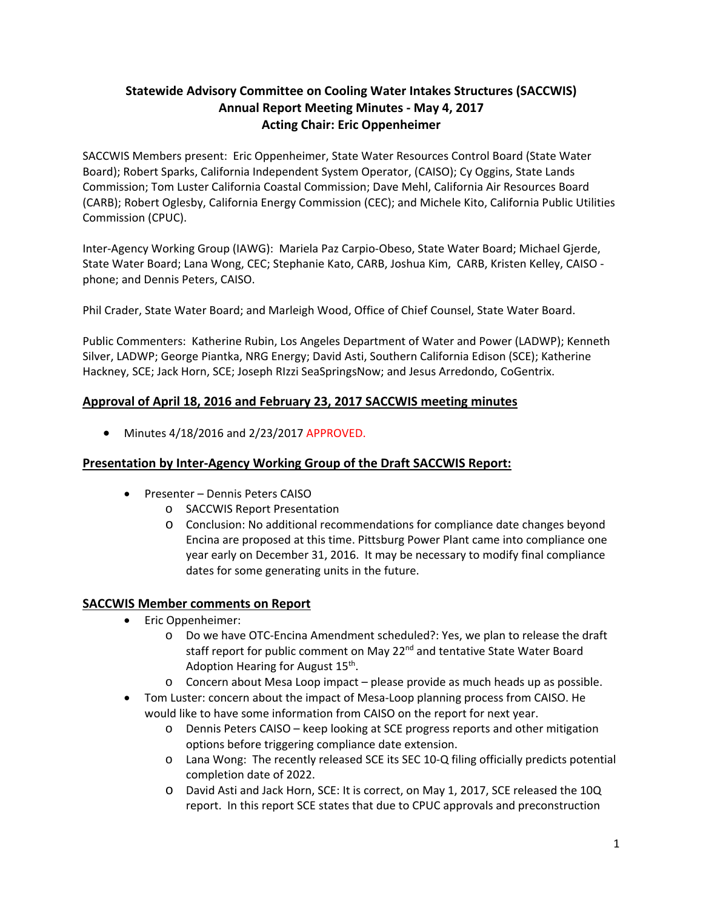# **Statewide Advisory Committee on Cooling Water Intakes Structures (SACCWIS) Annual Report Meeting Minutes ‐ May 4, 2017 Acting Chair: Eric Oppenheimer**

SACCWIS Members present: Eric Oppenheimer, State Water Resources Control Board (State Water Board); Robert Sparks, California Independent System Operator, (CAISO); Cy Oggins, State Lands Commission; Tom Luster California Coastal Commission; Dave Mehl, California Air Resources Board (CARB); Robert Oglesby, California Energy Commission (CEC); and Michele Kito, California Public Utilities Commission (CPUC).

Inter‐Agency Working Group (IAWG): Mariela Paz Carpio‐Obeso, State Water Board; Michael Gjerde, State Water Board; Lana Wong, CEC; Stephanie Kato, CARB, Joshua Kim, CARB, Kristen Kelley, CAISO ‐ phone; and Dennis Peters, CAISO.

Phil Crader, State Water Board; and Marleigh Wood, Office of Chief Counsel, State Water Board.

Public Commenters: Katherine Rubin, Los Angeles Department of Water and Power (LADWP); Kenneth Silver, LADWP; George Piantka, NRG Energy; David Asti, Southern California Edison (SCE); Katherine Hackney, SCE; Jack Horn, SCE; Joseph RIzzi SeaSpringsNow; and Jesus Arredondo, CoGentrix.

### **Approval of April 18, 2016 and February 23, 2017 SACCWIS meeting minutes**

 $\bullet$  Minutes 4/18/2016 and 2/23/2017 APPROVED.

### **Presentation by Inter‐Agency Working Group of the Draft SACCWIS Report:**

- Presenter Dennis Peters CAISO
	- o SACCWIS Report Presentation
	- o Conclusion: No additional recommendations for compliance date changes beyond Encina are proposed at this time. Pittsburg Power Plant came into compliance one year early on December 31, 2016. It may be necessary to modify final compliance dates for some generating units in the future.

#### **SACCWIS Member comments on Report**

- Eric Oppenheimer:
	- o Do we have OTC‐Encina Amendment scheduled?: Yes, we plan to release the draft staff report for public comment on May 22<sup>nd</sup> and tentative State Water Board Adoption Hearing for August 15<sup>th</sup>.
	- o Concern about Mesa Loop impact please provide as much heads up as possible.
- Tom Luster: concern about the impact of Mesa‐Loop planning process from CAISO. He would like to have some information from CAISO on the report for next year.
	- o Dennis Peters CAISO keep looking at SCE progress reports and other mitigation options before triggering compliance date extension.
	- o Lana Wong: The recently released SCE its SEC 10‐Q filing officially predicts potential completion date of 2022.
	- o David Asti and Jack Horn, SCE: It is correct, on May 1, 2017, SCE released the 10Q report. In this report SCE states that due to CPUC approvals and preconstruction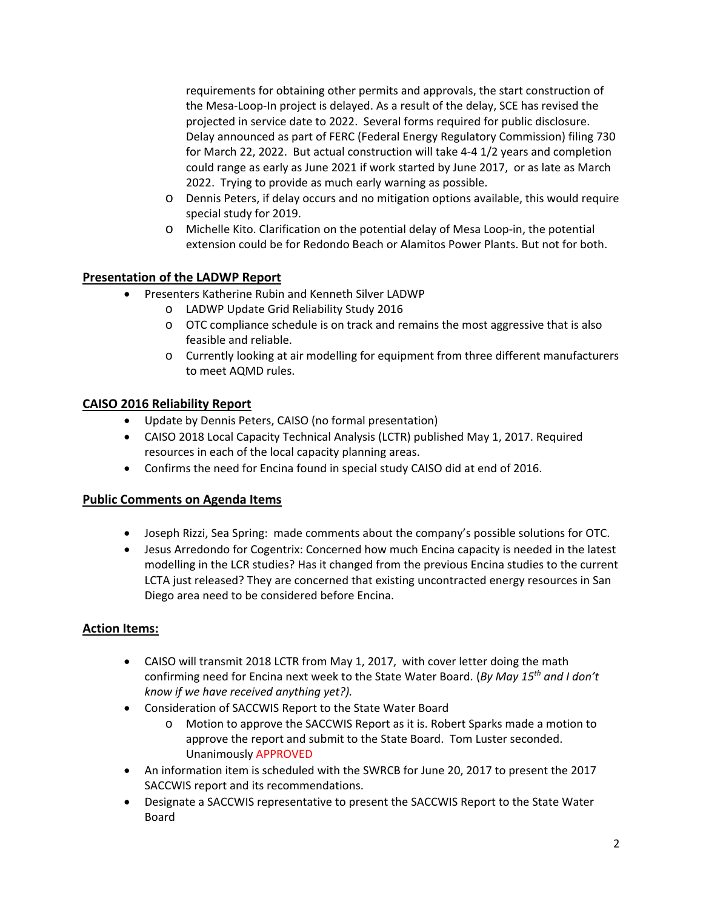requirements for obtaining other permits and approvals, the start construction of the Mesa‐Loop‐In project is delayed. As a result of the delay, SCE has revised the projected in service date to 2022. Several forms required for public disclosure. Delay announced as part of FERC (Federal Energy Regulatory Commission) filing 730 for March 22, 2022. But actual construction will take 4‐4 1/2 years and completion could range as early as June 2021 if work started by June 2017, or as late as March 2022. Trying to provide as much early warning as possible.

- o Dennis Peters, if delay occurs and no mitigation options available, this would require special study for 2019.
- o Michelle Kito. Clarification on the potential delay of Mesa Loop‐in, the potential extension could be for Redondo Beach or Alamitos Power Plants. But not for both.

# **Presentation of the LADWP Report**

- Presenters Katherine Rubin and Kenneth Silver LADWP
	- o LADWP Update Grid Reliability Study 2016
	- o OTC compliance schedule is on track and remains the most aggressive that is also feasible and reliable.
	- o Currently looking at air modelling for equipment from three different manufacturers to meet AQMD rules.

### **CAISO 2016 Reliability Report**

- Update by Dennis Peters, CAISO (no formal presentation)
- CAISO 2018 Local Capacity Technical Analysis (LCTR) published May 1, 2017. Required resources in each of the local capacity planning areas.
- Confirms the need for Encina found in special study CAISO did at end of 2016.

### **Public Comments on Agenda Items**

- Joseph Rizzi, Sea Spring: made comments about the company's possible solutions for OTC.
- Jesus Arredondo for Cogentrix: Concerned how much Encina capacity is needed in the latest modelling in the LCR studies? Has it changed from the previous Encina studies to the current LCTA just released? They are concerned that existing uncontracted energy resources in San Diego area need to be considered before Encina.

# **Action Items:**

- CAISO will transmit 2018 LCTR from May 1, 2017, with cover letter doing the math confirming need for Encina next week to the State Water Board. (*By May 15th and I don't know if we have received anything yet?).*
- Consideration of SACCWIS Report to the State Water Board
	- o Motion to approve the SACCWIS Report as it is. Robert Sparks made a motion to approve the report and submit to the State Board. Tom Luster seconded. Unanimously APPROVED
- An information item is scheduled with the SWRCB for June 20, 2017 to present the 2017 SACCWIS report and its recommendations.
- Designate a SACCWIS representative to present the SACCWIS Report to the State Water Board